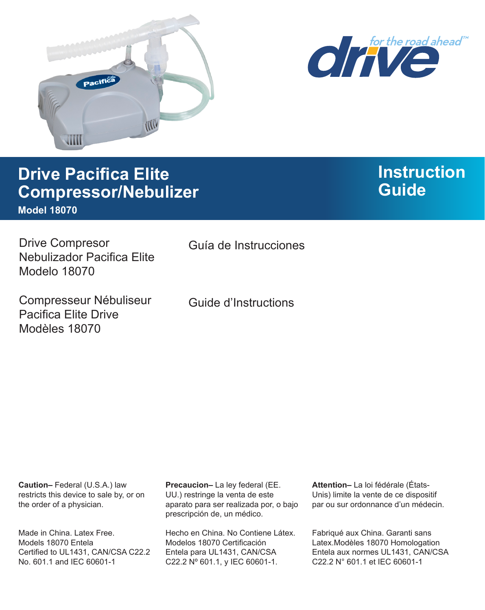



# **Drive Pacifica Elite Compressor/Nebulizer Model 18070**

# **Instruction Guide**

Drive Compresor Nebulizador Pacifica Elite Modelo 18070

Compresseur Nébuliseur Pacifica Elite Drive Modèles 18070

Guía de Instrucciones

Guide d'Instructions

**Caution–** Federal (U.S.A.) law restricts this device to sale by, or on the order of a physician.

Made in China. Latex Free. Models 18070 Entela Certified to UL1431, CAN/CSA C22.2 No. 601.1 and IEC 60601-1

**Precaucion–** La ley federal (EE. UU.) restringe la venta de este aparato para ser realizada por, o bajo prescripción de, un médico.

Hecho en China. No Contiene Látex. Modelos 18070 Certificación Entela para UL1431, CAN/CSA C22.2 Nº 601.1, y IEC 60601-1.

**Attention–** La loi fédérale (États-Unis) limite la vente de ce dispositif par ou sur ordonnance d'un médecin.

Fabriqué aux China. Garanti sans Latex.Modèles 18070 Homologation Entela aux normes UL1431, CAN/CSA C22.2 N° 601.1 et IEC 60601-1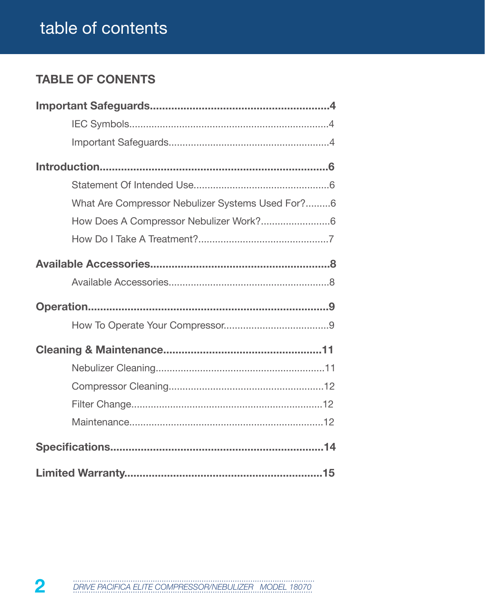# table of contents

# **TABLE OF CONENTS**

| What Are Compressor Nebulizer Systems Used For?6 |
|--------------------------------------------------|
| How Does A Compressor Nebulizer Work?6           |
|                                                  |
|                                                  |
|                                                  |
|                                                  |
|                                                  |
|                                                  |
|                                                  |
|                                                  |
|                                                  |
|                                                  |
|                                                  |
|                                                  |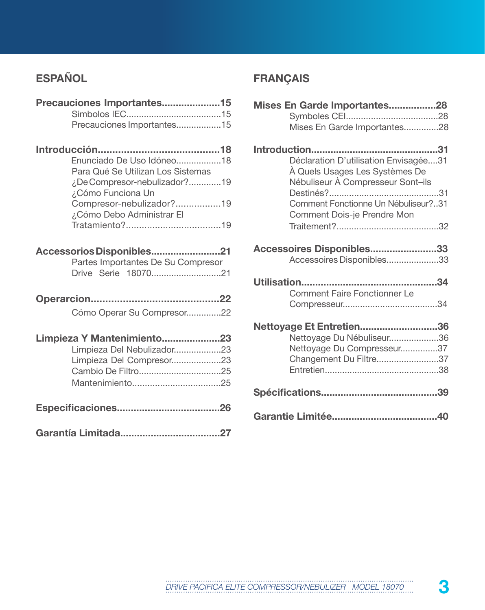# **ESPAÑOL**

| Precauciones Importantes15         |  |
|------------------------------------|--|
|                                    |  |
| Precauciones Importantes15         |  |
|                                    |  |
|                                    |  |
| Enunciado De Uso Idóneo18          |  |
| Para Qué Se Utilizan Los Sistemas  |  |
| ¿De Compresor-nebulizador?19       |  |
| ¿Cómo Funciona Un                  |  |
| Compresor-nebulizador?19           |  |
| ¿Cómo Debo Administrar El          |  |
|                                    |  |
|                                    |  |
| Accessorios Disponibles21          |  |
| Partes Importantes De Su Compresor |  |
| Drive Serie 1807021                |  |
|                                    |  |
|                                    |  |
| Cómo Operar Su Compresor22         |  |
| Limpieza Y Mantenimiento23         |  |
| Limpieza Del Nebulizador23         |  |
| Limpieza Del Compresor23           |  |
|                                    |  |
|                                    |  |
|                                    |  |
|                                    |  |
|                                    |  |
|                                    |  |

# **FRANÇAIS**

| Mises En Garde Importantes28                                                                                 |  |  |
|--------------------------------------------------------------------------------------------------------------|--|--|
|                                                                                                              |  |  |
| Mises En Garde Importantes28                                                                                 |  |  |
|                                                                                                              |  |  |
| Déclaration D'utilisation Envisagée31<br>À Quels Usages Les Systèmes De<br>Nébuliseur À Compresseur Sont-ils |  |  |
|                                                                                                              |  |  |
| Comment Fonctionne Un Nébuliseur?31<br>Comment Dois-je Prendre Mon                                           |  |  |
|                                                                                                              |  |  |
|                                                                                                              |  |  |
| Accessoires Disponibles33                                                                                    |  |  |
| Accessoires Disponibles33                                                                                    |  |  |
|                                                                                                              |  |  |
|                                                                                                              |  |  |
| <b>Comment Faire Fonctionner Le</b>                                                                          |  |  |
|                                                                                                              |  |  |
|                                                                                                              |  |  |
| Nettoyage Et Entretien36                                                                                     |  |  |
| Nettoyage Du Nébuliseur36                                                                                    |  |  |
| Nettoyage Du Compresseur37<br>Changement Du Filtre37                                                         |  |  |
|                                                                                                              |  |  |
|                                                                                                              |  |  |
|                                                                                                              |  |  |
|                                                                                                              |  |  |
|                                                                                                              |  |  |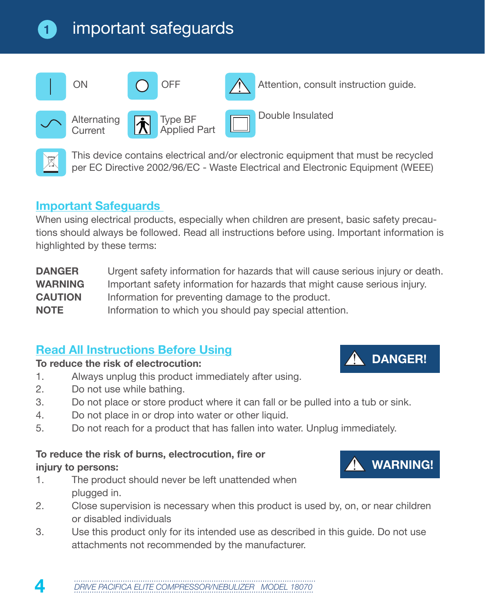# important safeguards



This device contains electrical and/or electronic equipment that must be recycled per EC Directive 2002/96/EC - Waste Electrical and Electronic Equipment (WEEE)

#### **Important Safeguards**

**1**

When using electrical products, especially when children are present, basic safety precautions should always be followed. Read all instructions before using. Important information is highlighted by these terms:

**DANGER** Urgent safety information for hazards that will cause serious injury or death. **WARNING** Important safety information for hazards that might cause serious injury. **CAUTION** Information for preventing damage to the product. **NOTE** Information to which you should pay special attention.

# **Read All Instructions Before Using**

#### **To reduce the risk of electrocution:**

- 1. Always unplug this product immediately after using.
- 2. Do not use while bathing.
- 3. Do not place or store product where it can fall or be pulled into a tub or sink.
- 4. Do not place in or drop into water or other liquid.
- 5. Do not reach for a product that has fallen into water. Unplug immediately.

#### **To reduce the risk of burns, electrocution, fire or injury to persons:**

- 1. The product should never be left unattended when plugged in.
- 2. Close supervision is necessary when this product is used by, on, or near children or disabled individuals
- 3. Use this product only for its intended use as described in this guide. Do not use attachments not recommended by the manufacturer.



**DANGER!**

**WARNING!**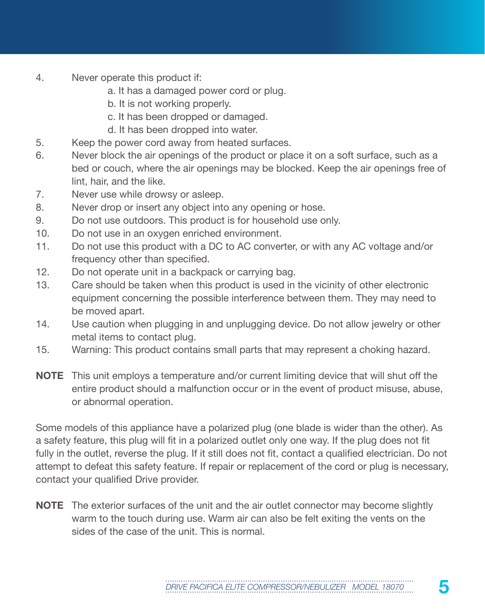- 4. Never operate this product if:
	- a. It has a damaged power cord or plug.
	- b. It is not working properly.
	- c. It has been dropped or damaged.
	- d. It has been dropped into water.
- 5. Keep the power cord away from heated surfaces.
- 6. Never block the air openings of the product or place it on a soft surface, such as a bed or couch, where the air openings may be blocked. Keep the air openings free of lint, hair, and the like.
- 7. Never use while drowsy or asleep.
- 8. Never drop or insert any object into any opening or hose.
- 9. Do not use outdoors. This product is for household use only.
- 10. Do not use in an oxygen enriched environment.
- 11. Do not use this product with a DC to AC converter, or with any AC voltage and/or frequency other than specified.
- 12. Do not operate unit in a backpack or carrying bag.
- 13. Care should be taken when this product is used in the vicinity of other electronic equipment concerning the possible interference between them. They may need to be moved apart.
- 14. Use caution when plugging in and unplugging device. Do not allow jewelry or other metal items to contact plug.
- 15. Warning: This product contains small parts that may represent a choking hazard.
- **NOTE** This unit employs a temperature and/or current limiting device that will shut off the entire product should a malfunction occur or in the event of product misuse, abuse, or abnormal operation.

Some models of this appliance have a polarized plug (one blade is wider than the other). As a safety feature, this plug will fit in a polarized outlet only one way. If the plug does not fit fully in the outlet, reverse the plug. If it still does not fit, contact a qualified electrician. Do not attempt to defeat this safety feature. If repair or replacement of the cord or plug is necessary, contact your qualified Drive provider.

**NOTE** The exterior surfaces of the unit and the air outlet connector may become slightly warm to the touch during use. Warm air can also be felt exiting the vents on the sides of the case of the unit. This is normal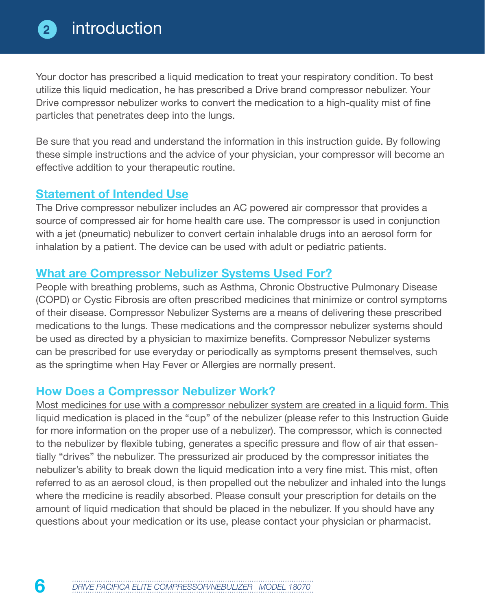Your doctor has prescribed a liquid medication to treat your respiratory condition. To best utilize this liquid medication, he has prescribed a Drive brand compressor nebulizer. Your Drive compressor nebulizer works to convert the medication to a high-quality mist of fine particles that penetrates deep into the lungs.

Be sure that you read and understand the information in this instruction guide. By following these simple instructions and the advice of your physician, your compressor will become an effective addition to your therapeutic routine.

#### **Statement of Intended Use**

The Drive compressor nebulizer includes an AC powered air compressor that provides a source of compressed air for home health care use. The compressor is used in conjunction with a jet (pneumatic) nebulizer to convert certain inhalable drugs into an aerosol form for inhalation by a patient. The device can be used with adult or pediatric patients.

#### **What are Compressor Nebulizer Systems Used For?**

People with breathing problems, such as Asthma, Chronic Obstructive Pulmonary Disease (COPD) or Cystic Fibrosis are often prescribed medicines that minimize or control symptoms of their disease. Compressor Nebulizer Systems are a means of delivering these prescribed medications to the lungs. These medications and the compressor nebulizer systems should be used as directed by a physician to maximize benefits. Compressor Nebulizer systems can be prescribed for use everyday or periodically as symptoms present themselves, such as the springtime when Hay Fever or Allergies are normally present.

#### **How Does a Compressor Nebulizer Work?**

Most medicines for use with a compressor nebulizer system are created in a liquid form. This liquid medication is placed in the "cup" of the nebulizer (please refer to this Instruction Guide for more information on the proper use of a nebulizer). The compressor, which is connected to the nebulizer by flexible tubing, generates a specific pressure and flow of air that essentially "drives" the nebulizer. The pressurized air produced by the compressor initiates the nebulizer's ability to break down the liquid medication into a very fine mist. This mist, often referred to as an aerosol cloud, is then propelled out the nebulizer and inhaled into the lungs where the medicine is readily absorbed. Please consult your prescription for details on the amount of liquid medication that should be placed in the nebulizer. If you should have any questions about your medication or its use, please contact your physician or pharmacist.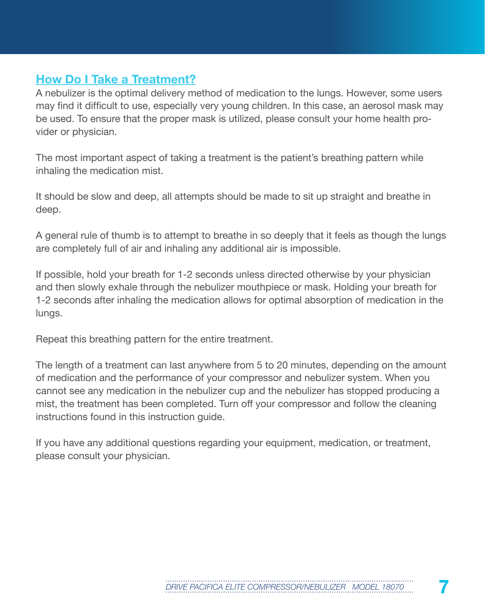#### **How Do I Take a Treatment?**

A nebulizer is the optimal delivery method of medication to the lungs. However, some users may find it difficult to use, especially very young children. In this case, an aerosol mask may be used. To ensure that the proper mask is utilized, please consult your home health provider or physician.

The most important aspect of taking a treatment is the patient's breathing pattern while inhaling the medication mist.

It should be slow and deep, all attempts should be made to sit up straight and breathe in deep.

A general rule of thumb is to attempt to breathe in so deeply that it feels as though the lungs are completely full of air and inhaling any additional air is impossible.

If possible, hold your breath for 1-2 seconds unless directed otherwise by your physician and then slowly exhale through the nebulizer mouthpiece or mask. Holding your breath for 1-2 seconds after inhaling the medication allows for optimal absorption of medication in the lungs.

Repeat this breathing pattern for the entire treatment.

The length of a treatment can last anywhere from 5 to 20 minutes, depending on the amount of medication and the performance of your compressor and nebulizer system. When you cannot see any medication in the nebulizer cup and the nebulizer has stopped producing a mist, the treatment has been completed. Turn off your compressor and follow the cleaning instructions found in this instruction guide.

If you have any additional questions regarding your equipment, medication, or treatment, please consult your physician.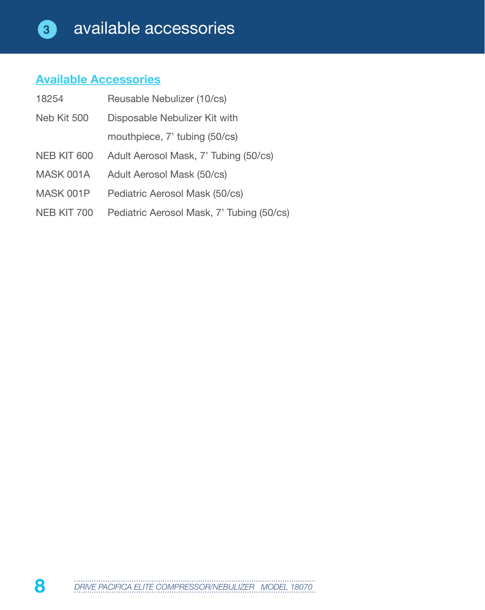# **Available Accessories**

| 18254       | Reusable Nebulizer (10/cs)                |
|-------------|-------------------------------------------|
| Neb Kit 500 | Disposable Nebulizer Kit with             |
|             | mouthpiece, 7' tubing (50/cs)             |
| NEB KIT 600 | Adult Aerosol Mask, 7' Tubing (50/cs)     |
| MASK 001A   | Adult Aerosol Mask (50/cs)                |
| MASK 001P   | Pediatric Aerosol Mask (50/cs)            |
| NEB KIT 700 | Pediatric Aerosol Mask, 7' Tubing (50/cs) |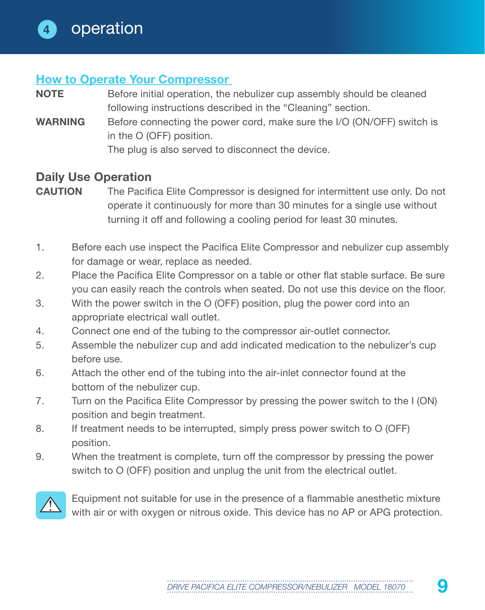#### **How to Operate Your Compressor**

- **NOTE** Before initial operation, the nebulizer cup assembly should be cleaned following instructions described in the "Cleaning" section.
- **WARNING** Before connecting the power cord, make sure the I/O (ON/OFF) switch is in the O (OFF) position.

The plug is also served to disconnect the device.

#### **Daily Use Operation**

- **CAUTION** The Pacifica Elite Compressor is designed for intermittent use only. Do not operate it continuously for more than 30 minutes for a single use without turning it off and following a cooling period for least 30 minutes.
- 1. Before each use inspect the Pacifica Elite Compressor and nebulizer cup assembly for damage or wear, replace as needed.
- 2. Place the Pacifica Elite Compressor on a table or other flat stable surface. Be sure you can easily reach the controls when seated. Do not use this device on the floor.
- 3. With the power switch in the O (OFF) position, plug the power cord into an appropriate electrical wall outlet.
- 4. Connect one end of the tubing to the compressor air-outlet connector.
- 5. Assemble the nebulizer cup and add indicated medication to the nebulizer's cup before use.
- 6. Attach the other end of the tubing into the air-inlet connector found at the bottom of the nebulizer cup.
- 7. Turn on the Pacifica Elite Compressor by pressing the power switch to the I (ON) position and begin treatment.
- 8. If treatment needs to be interrupted, simply press power switch to O (OFF) position.
- 9. When the treatment is complete, turn off the compressor by pressing the power switch to O (OFF) position and unplug the unit from the electrical outlet.



Equipment not suitable for use in the presence of a flammable anesthetic mixture with air or with oxygen or nitrous oxide. This device has no AP or APG protection.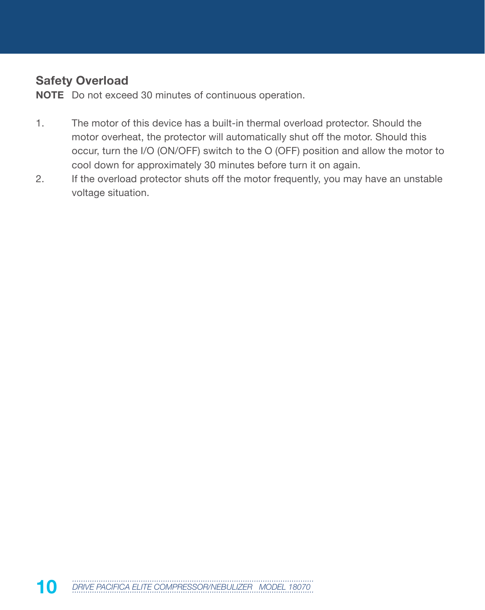### **Safety Overload**

**NOTE** Do not exceed 30 minutes of continuous operation.

- 1. The motor of this device has a built-in thermal overload protector. Should the motor overheat, the protector will automatically shut off the motor. Should this occur, turn the I/O (ON/OFF) switch to the O (OFF) position and allow the motor to cool down for approximately 30 minutes before turn it on again.
- 2. If the overload protector shuts off the motor frequently, you may have an unstable voltage situation.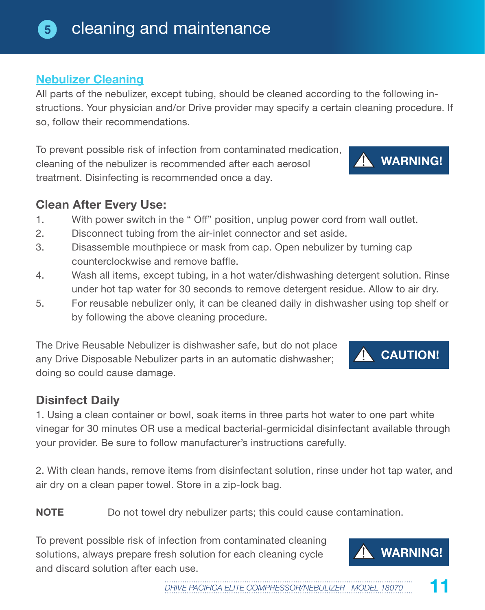#### cleaning and maintenance **5**

## **Nebulizer Cleaning**

All parts of the nebulizer, except tubing, should be cleaned according to the following instructions. Your physician and/or Drive provider may specify a certain cleaning procedure. If so, follow their recommendations.

To prevent possible risk of infection from contaminated medication, cleaning of the nebulizer is recommended after each aerosol treatment. Disinfecting is recommended once a day.

#### **Clean After Every Use:**

- 1. With power switch in the " Off" position, unplug power cord from wall outlet.
- 2. Disconnect tubing from the air-inlet connector and set aside.
- 3. Disassemble mouthpiece or mask from cap. Open nebulizer by turning cap counterclockwise and remove baffle.
- 4. Wash all items, except tubing, in a hot water/dishwashing detergent solution. Rinse under hot tap water for 30 seconds to remove detergent residue. Allow to air dry.
- 5. For reusable nebulizer only, it can be cleaned daily in dishwasher using top shelf or by following the above cleaning procedure.

The Drive Reusable Nebulizer is dishwasher safe, but do not place any Drive Disposable Nebulizer parts in an automatic dishwasher; doing so could cause damage.

## **Disinfect Daily**

1. Using a clean container or bowl, soak items in three parts hot water to one part white vinegar for 30 minutes OR use a medical bacterial-germicidal disinfectant available through your provider. Be sure to follow manufacturer's instructions carefully.

2. With clean hands, remove items from disinfectant solution, rinse under hot tap water, and air dry on a clean paper towel. Store in a zip-lock bag.

**NOTE** Do not towel dry nebulizer parts; this could cause contamination.

To prevent possible risk of infection from contaminated cleaning solutions, always prepare fresh solution for each cleaning cycle and discard solution after each use.







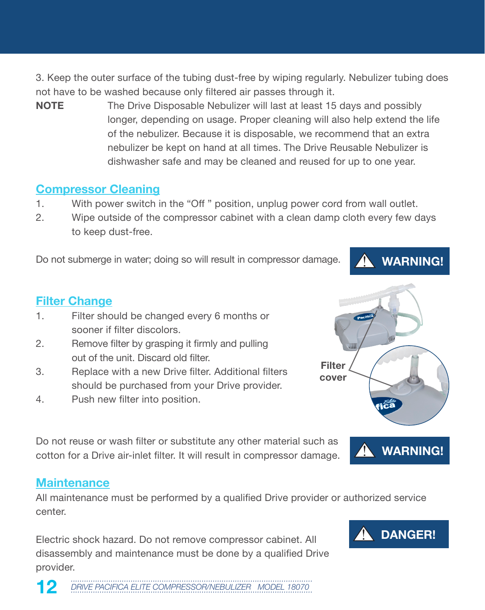3. Keep the outer surface of the tubing dust-free by wiping regularly. Nebulizer tubing does not have to be washed because only filtered air passes through it.

**NOTE** The Drive Disposable Nebulizer will last at least 15 days and possibly longer, depending on usage. Proper cleaning will also help extend the life of the nebulizer. Because it is disposable, we recommend that an extra nebulizer be kept on hand at all times. The Drive Reusable Nebulizer is dishwasher safe and may be cleaned and reused for up to one year.

#### **Compressor Cleaning**

- 1. With power switch in the "Off " position, unplug power cord from wall outlet.
- 2. Wipe outside of the compressor cabinet with a clean damp cloth every few days to keep dust-free.

Do not submerge in water; doing so will result in compressor damage.

#### **Filter Change**

- 1. Filter should be changed every 6 months or sooner if filter discolors.
- 2. Remove filter by grasping it firmly and pulling out of the unit. Discard old filter.
- 3. Replace with a new Drive filter. Additional filters should be purchased from your Drive provider.
- 4. Push new filter into position.

Do not reuse or wash filter or substitute any other material such as cotton for a Drive air-inlet filter. It will result in compressor damage.

#### **Maintenance**

All maintenance must be performed by a qualified Drive provider or authorized service center.

Electric shock hazard. Do not remove compressor cabinet. All disassembly and maintenance must be done by a qualified Drive provider.

12 DRIVE PACIFICA ELITE COMPRESSOR/NEBULIZER MODEL 18070





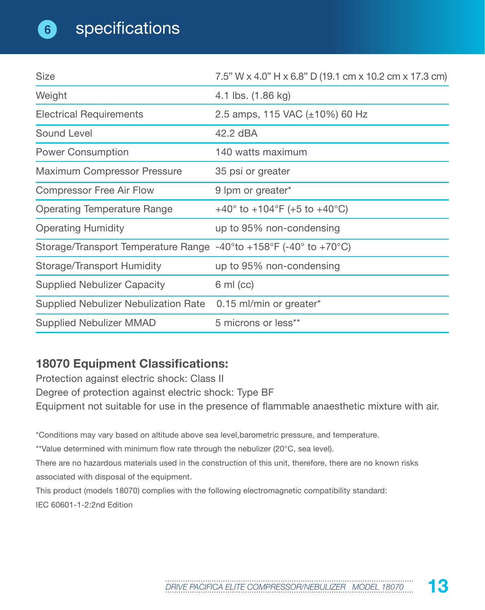**6**

| <b>Size</b>                                                                                                  | 7.5" W x 4.0" H x 6.8" D (19.1 cm x 10.2 cm x 17.3 cm)       |
|--------------------------------------------------------------------------------------------------------------|--------------------------------------------------------------|
| Weight                                                                                                       | 4.1 lbs. (1.86 kg)                                           |
| <b>Electrical Requirements</b>                                                                               | 2.5 amps, 115 VAC (±10%) 60 Hz                               |
| Sound Level                                                                                                  | 42.2 dBA                                                     |
| <b>Power Consumption</b>                                                                                     | 140 watts maximum                                            |
| Maximum Compressor Pressure                                                                                  | 35 psi or greater                                            |
| <b>Compressor Free Air Flow</b>                                                                              | 9 lpm or greater*                                            |
| <b>Operating Temperature Range</b>                                                                           | +40 $^{\circ}$ to +104 $^{\circ}$ F (+5 to +40 $^{\circ}$ C) |
| <b>Operating Humidity</b>                                                                                    | up to 95% non-condensing                                     |
| Storage/Transport Temperature Range -40 $^{\circ}$ to +158 $^{\circ}$ F (-40 $^{\circ}$ to +70 $^{\circ}$ C) |                                                              |
| Storage/Transport Humidity                                                                                   | up to 95% non-condensing                                     |
| <b>Supplied Nebulizer Capacity</b>                                                                           | $6 \text{ ml} (cc)$                                          |
| Supplied Nebulizer Nebulization Rate 0.15 ml/min or greater*                                                 |                                                              |
| <b>Supplied Nebulizer MMAD</b>                                                                               | 5 microns or less**                                          |

# **18070 Equipment Classifications:**

Protection against electric shock: Class II Degree of protection against electric shock: Type BF Equipment not suitable for use in the presence of flammable anaesthetic mixture with air.

\*Conditions may vary based on altitude above sea level,barometric pressure, and temperature.

\*\*Value determined with minimum flow rate through the nebulizer (20°C, sea level).

There are no hazardous materials used in the construction of this unit, therefore, there are no known risks associated with disposal of the equipment.

This product (models 18070) complies with the following electromagnetic compatibility standard:

IEC 60601-1-2:2nd Edition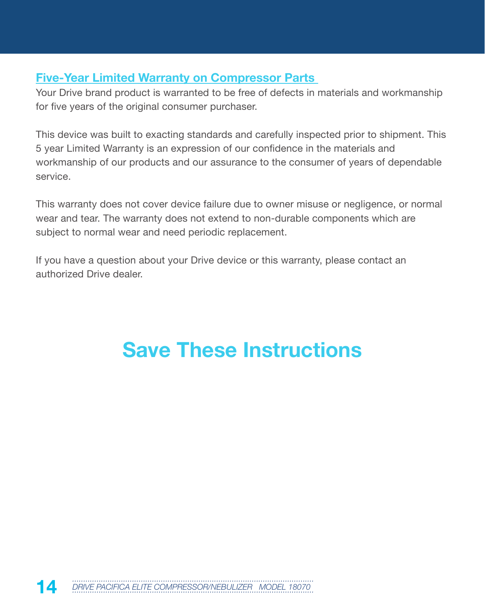#### **Five-Year Limited Warranty on Compressor Parts**

Your Drive brand product is warranted to be free of defects in materials and workmanship for five years of the original consumer purchaser.

This device was built to exacting standards and carefully inspected prior to shipment. This 5 year Limited Warranty is an expression of our confidence in the materials and workmanship of our products and our assurance to the consumer of years of dependable service.

This warranty does not cover device failure due to owner misuse or negligence, or normal wear and tear. The warranty does not extend to non-durable components which are subject to normal wear and need periodic replacement.

If you have a question about your Drive device or this warranty, please contact an authorized Drive dealer.

# **Save These Instructions**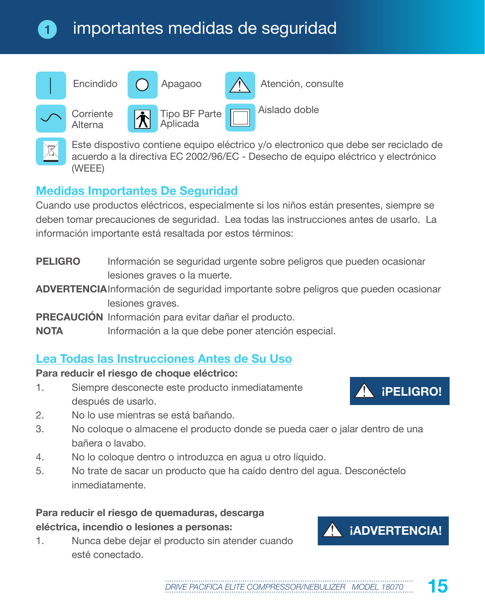# importantes medidas de seguridad



Este dispostivo contiene equipo eléctrico y/o electronico que debe ser reciclado de acuerdo a la directiva EC 2002/96/EC - Desecho de equipo eléctrico y electrónico (WEEE)

# **Medidas Importantes De Seguridad**

**1**

Cuando use productos eléctricos, especialmente si los niños están presentes, siempre se deben tomar precauciones de seguridad. Lea todas las instrucciones antes de usarlo. La información importante está resaltada por estos términos:

- **PELIGRO** Información se seguridad urgente sobre peligros que pueden ocasionar lesiones graves o la muerte.
- **ADVERTENCIA**Información de seguridad importante sobre peligros que pueden ocasionar lesiones graves.
- **PRECAUCIÓN** Información para evitar dañar el producto.
- **NOTA** Información a la que debe poner atención especial.

## **Lea Todas las Instrucciones Antes de Su Uso**

#### **Para reducir el riesgo de choque eléctrico:**

- 1. Siempre desconecte este producto inmediatamente después de usarlo.
- 2. No lo use mientras se está bañando.
- 3. No coloque o almacene el producto donde se pueda caer o jalar dentro de una bañera o lavabo.
- 4. No lo coloque dentro o introduzca en agua u otro líquido.
- 5. No trate de sacar un producto que ha caído dentro del agua. Desconéctelo inmediatamente.

#### **Para reducir el riesgo de quemaduras, descarga eléctrica, incendio o lesiones a personas:**

1. Nunca debe dejar el producto sin atender cuando esté conectado.



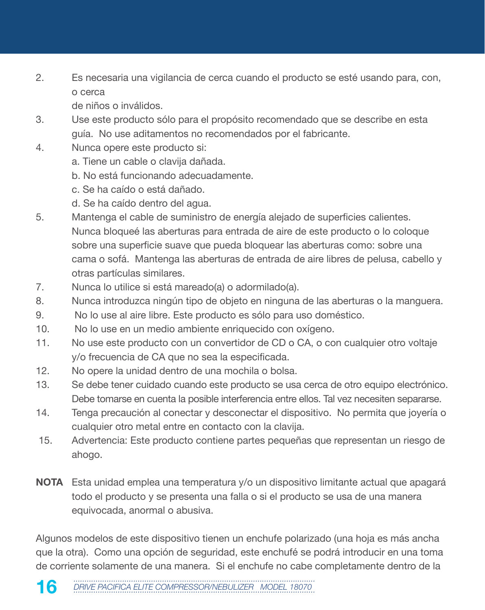2. Es necesaria una vigilancia de cerca cuando el producto se esté usando para, con, o cerca

de niños o inválidos.

- 3. Use este producto sólo para el propósito recomendado que se describe en esta guía. No use aditamentos no recomendados por el fabricante.
- 4. Nunca opere este producto si:
	- a. Tiene un cable o clavija dañada.
	- b. No está funcionando adecuadamente.
	- c. Se ha caído o está dañado.
	- d. Se ha caído dentro del agua.
- 5. Mantenga el cable de suministro de energía alejado de superficies calientes. Nunca bloqueé las aberturas para entrada de aire de este producto o lo coloque sobre una superficie suave que pueda bloquear las aberturas como: sobre una cama o sofá. Mantenga las aberturas de entrada de aire libres de pelusa, cabello y otras partículas similares.
- 7. Nunca lo utilice si está mareado(a) o adormilado(a).
- 8. Nunca introduzca ningún tipo de objeto en ninguna de las aberturas o la manguera.
- 9. No lo use al aire libre. Este producto es sólo para uso doméstico.
- 10. No lo use en un medio ambiente enriquecido con oxígeno.
- 11. No use este producto con un convertidor de CD o CA, o con cualquier otro voltaje y/o frecuencia de CA que no sea la especificada.
- 12. No opere la unidad dentro de una mochila o bolsa.
- 13. Se debe tener cuidado cuando este producto se usa cerca de otro equipo electrónico. Debe tomarse en cuenta la posible interferencia entre ellos. Tal vez necesiten separarse.
- 14. Tenga precaución al conectar y desconectar el dispositivo. No permita que joyería o cualquier otro metal entre en contacto con la clavija.
- 15. Advertencia: Este producto contiene partes pequeñas que representan un riesgo de ahogo.
- **NOTA** Esta unidad emplea una temperatura y/o un dispositivo limitante actual que apagará todo el producto y se presenta una falla o si el producto se usa de una manera equivocada, anormal o abusiva.

Algunos modelos de este dispositivo tienen un enchufe polarizado (una hoja es más ancha que la otra). Como una opción de seguridad, este enchufé se podrá introducir en una toma de corriente solamente de una manera. Si el enchufe no cabe completamente dentro de la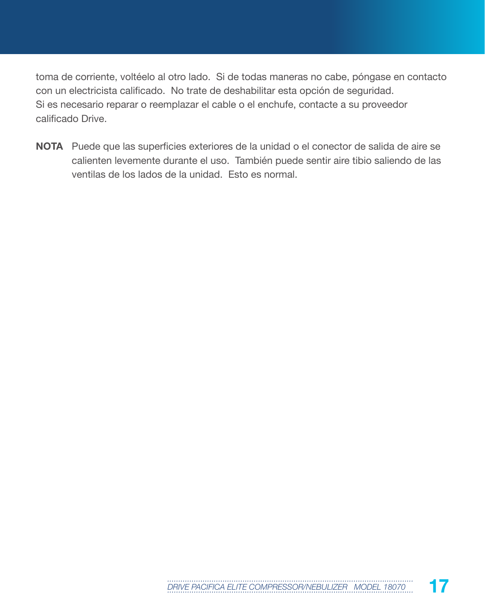toma de corriente, voltéelo al otro lado. Si de todas maneras no cabe, póngase en contacto con un electricista calificado. No trate de deshabilitar esta opción de seguridad. Si es necesario reparar o reemplazar el cable o el enchufe, contacte a su proveedor calificado Drive.

**NOTA** Puede que las superficies exteriores de la unidad o el conector de salida de aire se calienten levemente durante el uso. También puede sentir aire tibio saliendo de las ventilas de los lados de la unidad. Esto es normal.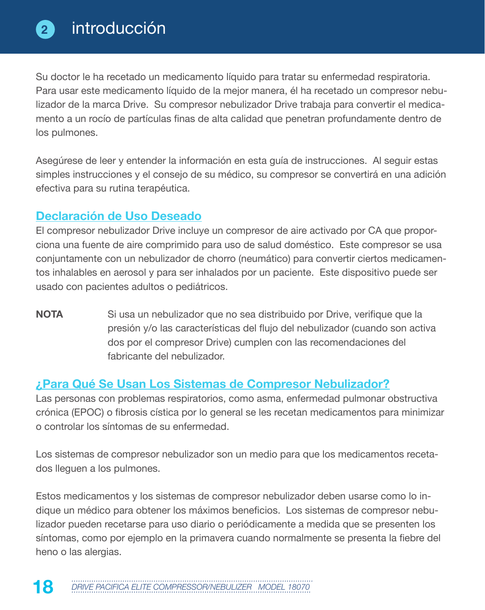Su doctor le ha recetado un medicamento líquido para tratar su enfermedad respiratoria. Para usar este medicamento líquido de la mejor manera, él ha recetado un compresor nebulizador de la marca Drive. Su compresor nebulizador Drive trabaja para convertir el medicamento a un rocío de partículas finas de alta calidad que penetran profundamente dentro de los pulmones.

Asegúrese de leer y entender la información en esta guía de instrucciones. Al seguir estas simples instrucciones y el consejo de su médico, su compresor se convertirá en una adición efectiva para su rutina terapéutica.

#### **Declaración de Uso Deseado**

El compresor nebulizador Drive incluye un compresor de aire activado por CA que proporciona una fuente de aire comprimido para uso de salud doméstico. Este compresor se usa conjuntamente con un nebulizador de chorro (neumático) para convertir ciertos medicamentos inhalables en aerosol y para ser inhalados por un paciente. Este dispositivo puede ser usado con pacientes adultos o pediátricos.

**NOTA** Si usa un nebulizador que no sea distribuido por Drive, verifique que la presión y/o las características del flujo del nebulizador (cuando son activa dos por el compresor Drive) cumplen con las recomendaciones del fabricante del nebulizador.

#### **¿Para Qué Se Usan Los Sistemas de Compresor Nebulizador?**

Las personas con problemas respiratorios, como asma, enfermedad pulmonar obstructiva crónica (EPOC) o fibrosis cística por lo general se les recetan medicamentos para minimizar o controlar los síntomas de su enfermedad.

Los sistemas de compresor nebulizador son un medio para que los medicamentos recetados lleguen a los pulmones.

Estos medicamentos y los sistemas de compresor nebulizador deben usarse como lo indique un médico para obtener los máximos beneficios. Los sistemas de compresor nebulizador pueden recetarse para uso diario o periódicamente a medida que se presenten los síntomas, como por ejemplo en la primavera cuando normalmente se presenta la fiebre del heno o las alergias.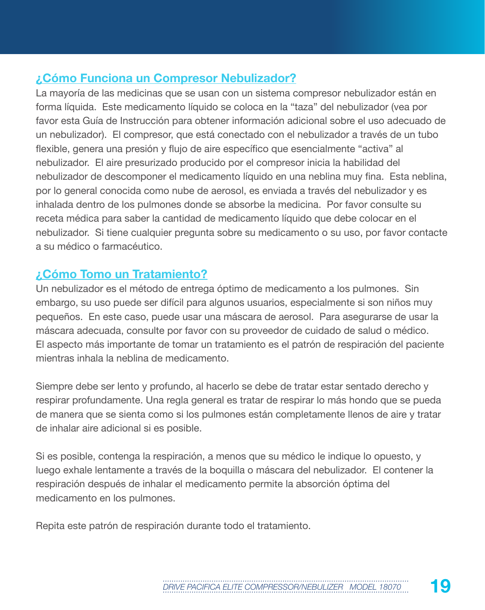# **¿Cómo Funciona un Compresor Nebulizador?**

La mayoría de las medicinas que se usan con un sistema compresor nebulizador están en forma líquida. Este medicamento líquido se coloca en la "taza" del nebulizador (vea por favor esta Guía de Instrucción para obtener información adicional sobre el uso adecuado de un nebulizador). El compresor, que está conectado con el nebulizador a través de un tubo flexible, genera una presión y flujo de aire específico que esencialmente "activa" al nebulizador. El aire presurizado producido por el compresor inicia la habilidad del nebulizador de descomponer el medicamento líquido en una neblina muy fina. Esta neblina, por lo general conocida como nube de aerosol, es enviada a través del nebulizador y es inhalada dentro de los pulmones donde se absorbe la medicina. Por favor consulte su receta médica para saber la cantidad de medicamento líquido que debe colocar en el nebulizador. Si tiene cualquier pregunta sobre su medicamento o su uso, por favor contacte a su médico o farmacéutico.

#### **¿Cómo Tomo un Tratamiento?**

Un nebulizador es el método de entrega óptimo de medicamento a los pulmones. Sin embargo, su uso puede ser difícil para algunos usuarios, especialmente si son niños muy pequeños. En este caso, puede usar una máscara de aerosol. Para asegurarse de usar la máscara adecuada, consulte por favor con su proveedor de cuidado de salud o médico. El aspecto más importante de tomar un tratamiento es el patrón de respiración del paciente mientras inhala la neblina de medicamento.

Siempre debe ser lento y profundo, al hacerlo se debe de tratar estar sentado derecho y respirar profundamente. Una regla general es tratar de respirar lo más hondo que se pueda de manera que se sienta como si los pulmones están completamente llenos de aire y tratar de inhalar aire adicional si es posible.

Si es posible, contenga la respiración, a menos que su médico le indique lo opuesto, y luego exhale lentamente a través de la boquilla o máscara del nebulizador. El contener la respiración después de inhalar el medicamento permite la absorción óptima del medicamento en los pulmones.

Repita este patrón de respiración durante todo el tratamiento.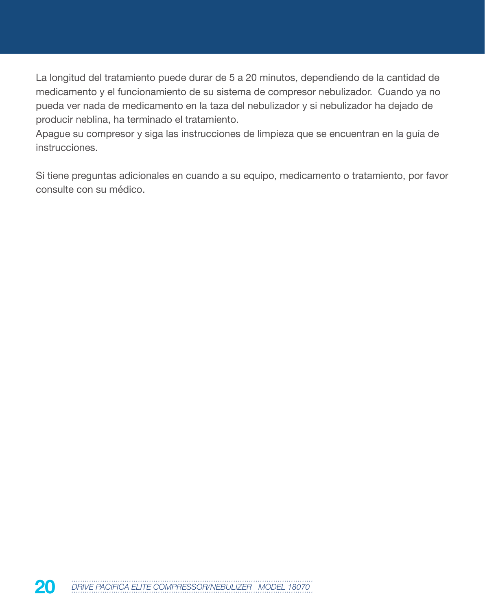La longitud del tratamiento puede durar de 5 a 20 minutos, dependiendo de la cantidad de medicamento y el funcionamiento de su sistema de compresor nebulizador. Cuando ya no pueda ver nada de medicamento en la taza del nebulizador y si nebulizador ha dejado de producir neblina, ha terminado el tratamiento.

Apague su compresor y siga las instrucciones de limpieza que se encuentran en la guía de instrucciones.

Si tiene preguntas adicionales en cuando a su equipo, medicamento o tratamiento, por favor consulte con su médico.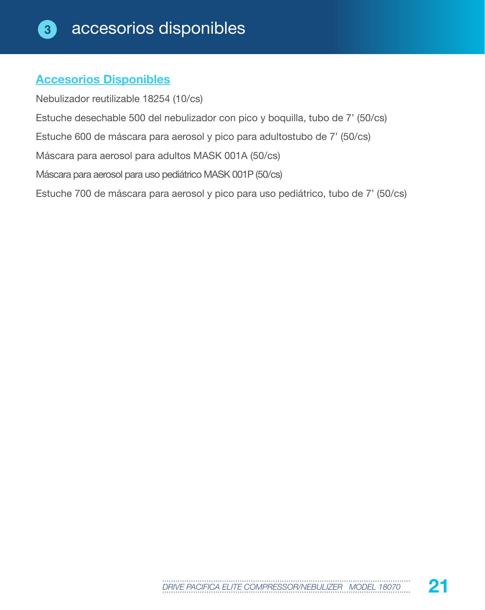#### **Accesorios Disponibles**

Nebulizador reutilizable 18254 (10/cs) Estuche desechable 500 del nebulizador con pico y boquilla, tubo de 7' (50/cs) Estuche 600 de máscara para aerosol y pico para adultostubo de 7' (50/cs) Máscara para aerosol para adultos MASK 001A (50/cs) Máscara para aerosol para uso pediátrico MASK 001P (50/cs) Estuche 700 de máscara para aerosol y pico para uso pediátrico, tubo de 7' (50/cs)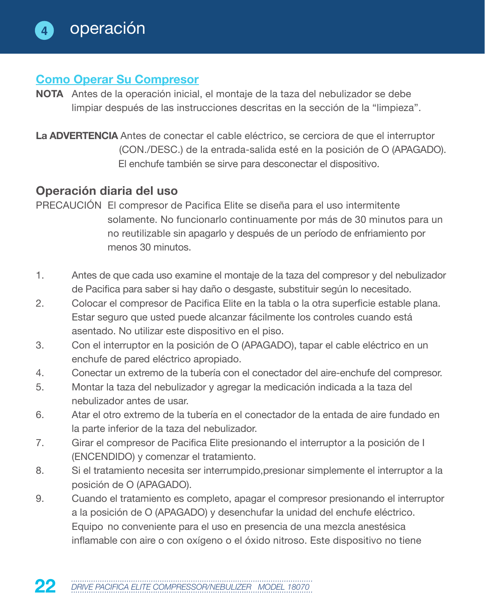#### **Como Operar Su Compresor**

- **NOTA** Antes de la operación inicial, el montaje de la taza del nebulizador se debe limpiar después de las instrucciones descritas en la sección de la "limpieza".
- **La ADVERTENCIA** Antes de conectar el cable eléctrico, se cerciora de que el interruptor (CON./DESC.) de la entrada-salida esté en la posición de O (APAGADO). El enchufe también se sirve para desconectar el dispositivo.

#### **Operación diaria del uso**

- PRECAUCIÓN El compresor de Pacifica Elite se diseña para el uso intermitente solamente. No funcionarlo continuamente por más de 30 minutos para un no reutilizable sin apagarlo y después de un período de enfriamiento por menos 30 minutos.
- 1. Antes de que cada uso examine el montaje de la taza del compresor y del nebulizador de Pacifica para saber si hay daño o desgaste, substituir según lo necesitado.
- 2. Colocar el compresor de Pacifica Elite en la tabla o la otra superficie estable plana. Estar seguro que usted puede alcanzar fácilmente los controles cuando está asentado. No utilizar este dispositivo en el piso.
- 3. Con el interruptor en la posición de O (APAGADO), tapar el cable eléctrico en un enchufe de pared eléctrico apropiado.
- 4. Conectar un extremo de la tubería con el conectador del aire-enchufe del compresor.
- 5. Montar la taza del nebulizador y agregar la medicación indicada a la taza del nebulizador antes de usar.
- 6. Atar el otro extremo de la tubería en el conectador de la entada de aire fundado en la parte inferior de la taza del nebulizador.
- 7. Girar el compresor de Pacifica Elite presionando el interruptor a la posición de I (ENCENDIDO) y comenzar el tratamiento.
- 8. Si el tratamiento necesita ser interrumpido,presionar simplemente el interruptor a la posición de O (APAGADO).
- 9. Cuando el tratamiento es completo, apagar el compresor presionando el interruptor a la posición de O (APAGADO) y desenchufar la unidad del enchufe eléctrico. Equipo no conveniente para el uso en presencia de una mezcla anestésica inflamable con aire o con oxígeno o el óxido nitroso. Este dispositivo no tiene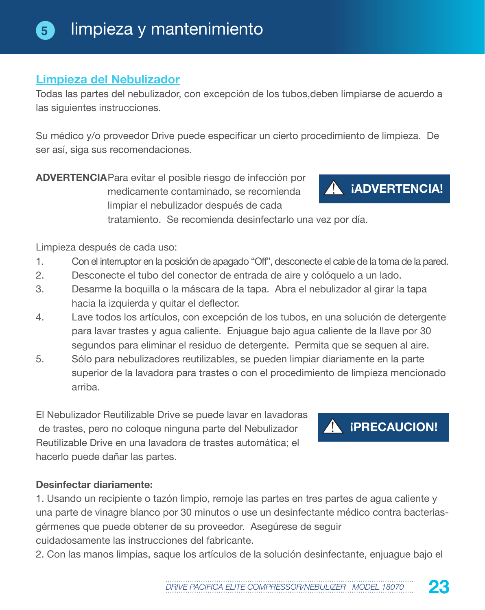#### **Limpieza del Nebulizador**

Todas las partes del nebulizador, con excepción de los tubos,deben limpiarse de acuerdo a las siguientes instrucciones.

Su médico y/o proveedor Drive puede especificar un cierto procedimiento de limpieza. De ser así, siga sus recomendaciones.

**ADVERTENCIA**Para evitar el posible riesgo de infección por medicamente contaminado, se recomienda limpiar el nebulizador después de cada

**¡ADVERTENCIA!**

tratamiento. Se recomienda desinfectarlo una vez por día.

Limpieza después de cada uso:

- 1. Con el interruptor en la posición de apagado "Off", desconecte el cable de la toma de la pared.
- 2. Desconecte el tubo del conector de entrada de aire y colóquelo a un lado.
- 3. Desarme la boquilla o la máscara de la tapa. Abra el nebulizador al girar la tapa hacia la izquierda y quitar el deflector.
- 4. Lave todos los artículos, con excepción de los tubos, en una solución de detergente para lavar trastes y agua caliente. Enjuague bajo agua caliente de la llave por 30 segundos para eliminar el residuo de detergente. Permita que se sequen al aire.
- 5. Sólo para nebulizadores reutilizables, se pueden limpiar diariamente en la parte superior de la lavadora para trastes o con el procedimiento de limpieza mencionado arriba.

El Nebulizador Reutilizable Drive se puede lavar en lavadoras de trastes, pero no coloque ninguna parte del Nebulizador Reutilizable Drive en una lavadora de trastes automática; el hacerlo puede dañar las partes.

#### **Desinfectar diariamente:**

1. Usando un recipiente o tazón limpio, remoje las partes en tres partes de agua caliente y una parte de vinagre blanco por 30 minutos o use un desinfectante médico contra bacteriasgérmenes que puede obtener de su proveedor. Asegúrese de seguir cuidadosamente las instrucciones del fabricante.

2. Con las manos limpias, saque los artículos de la solución desinfectante, enjuague bajo el



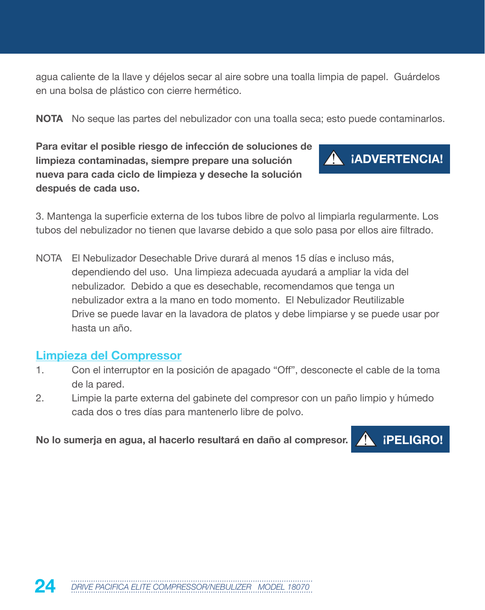agua caliente de la llave y déjelos secar al aire sobre una toalla limpia de papel. Guárdelos en una bolsa de plástico con cierre hermético.

**NOTA** No seque las partes del nebulizador con una toalla seca; esto puede contaminarlos.

**Para evitar el posible riesgo de infección de soluciones de limpieza contaminadas, siempre prepare una solución nueva para cada ciclo de limpieza y deseche la solución después de cada uso.** 



3. Mantenga la superficie externa de los tubos libre de polvo al limpiarla regularmente. Los tubos del nebulizador no tienen que lavarse debido a que solo pasa por ellos aire filtrado.

NOTA El Nebulizador Desechable Drive durará al menos 15 días e incluso más, dependiendo del uso. Una limpieza adecuada ayudará a ampliar la vida del nebulizador. Debido a que es desechable, recomendamos que tenga un nebulizador extra a la mano en todo momento. El Nebulizador Reutilizable Drive se puede lavar en la lavadora de platos y debe limpiarse y se puede usar por hasta un año.

#### **Limpieza del Compressor**

- 1. Con el interruptor en la posición de apagado "Off", desconecte el cable de la toma de la pared.
- 2. Limpie la parte externa del gabinete del compresor con un paño limpio y húmedo cada dos o tres días para mantenerlo libre de polvo.

No lo sumerja en agua, al hacerlo resultará en daño al compresor. **¡ ¡PELIGRO!** 

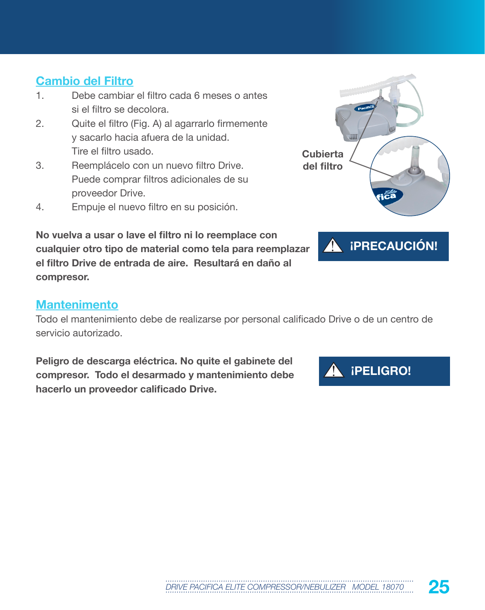#### **Cambio del Filtro**

- 1. Debe cambiar el filtro cada 6 meses o antes si el filtro se decolora.
- 2. Quite el filtro (Fig. A) al agarrarlo firmemente y sacarlo hacia afuera de la unidad. Tire el filtro usado.
- 3. Reemplácelo con un nuevo filtro Drive. Puede comprar filtros adicionales de su proveedor Drive.
- 4. Empuje el nuevo filtro en su posición.



**¡PRECAUCIÓN!**

A

**No vuelva a usar o lave el filtro ni lo reemplace con cualquier otro tipo de material como tela para reemplazar el filtro Drive de entrada de aire. Resultará en daño al compresor.**

#### **Mantenimento**

Todo el mantenimiento debe de realizarse por personal calificado Drive o de un centro de servicio autorizado.

**Peligro de descarga eléctrica. No quite el gabinete del compresor. Todo el desarmado y mantenimiento debe hacerlo un proveedor calificado Drive.**

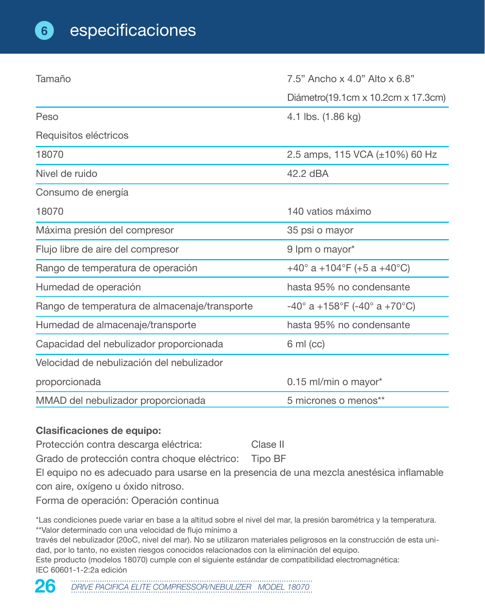| Tamaño                                        | 7.5" Ancho x 4.0" Alto x 6.8"         |  |
|-----------------------------------------------|---------------------------------------|--|
|                                               | Diámetro(19.1cm x 10.2cm x 17.3cm)    |  |
| Peso                                          | 4.1 lbs. (1.86 kg)                    |  |
| Requisitos eléctricos                         |                                       |  |
| 18070                                         | 2.5 amps, 115 VCA $(\pm 10\%)$ 60 Hz  |  |
| Nivel de ruido                                | 42.2 dBA                              |  |
| Consumo de energía                            |                                       |  |
| 18070                                         | 140 vatios máximo                     |  |
| Máxima presión del compresor                  | 35 psi o mayor                        |  |
| Flujo libre de aire del compresor             | 9 lpm o mayor*                        |  |
| Rango de temperatura de operación             | +40° a +104°F (+5 a +40°C)            |  |
| Humedad de operación                          | hasta 95% no condensante              |  |
| Rango de temperatura de almacenaje/transporte | $-40^{\circ}$ a +158°F (-40° a +70°C) |  |
| Humedad de almacenaje/transporte              | hasta 95% no condensante              |  |
| Capacidad del nebulizador proporcionada       | $6 \text{ ml} (cc)$                   |  |
| Velocidad de nebulización del nebulizador     |                                       |  |
| proporcionada                                 | 0.15 ml/min o mayor*                  |  |
| MMAD del nebulizador proporcionada            | 5 micrones o menos**                  |  |

#### **Clasificaciones de equipo:**

Protección contra descarga eléctrica: Clase II

Grado de protección contra choque eléctrico: Tipo BF

El equipo no es adecuado para usarse en la presencia de una mezcla anestésica inflamable con aire, oxígeno u óxido nitroso.

Forma de operación: Operación continua

\*Las condiciones puede variar en base a la altitud sobre el nivel del mar, la presión barométrica y la temperatura. \*\*Valor determinado con una velocidad de flujo mínimo a

través del nebulizador (20oC, nivel del mar). No se utilizaron materiales peligrosos en la construcción de esta unidad, por lo tanto, no existen riesgos conocidos relacionados con la eliminación del equipo. Este producto (modelos 18070) cumple con el siguiente estándar de compatibilidad electromagnética:

IEC 60601-1-2:2a edición



26 DRIVE PACIFICA ELITE COMPRESSOR/NEBULIZER MODEL 18070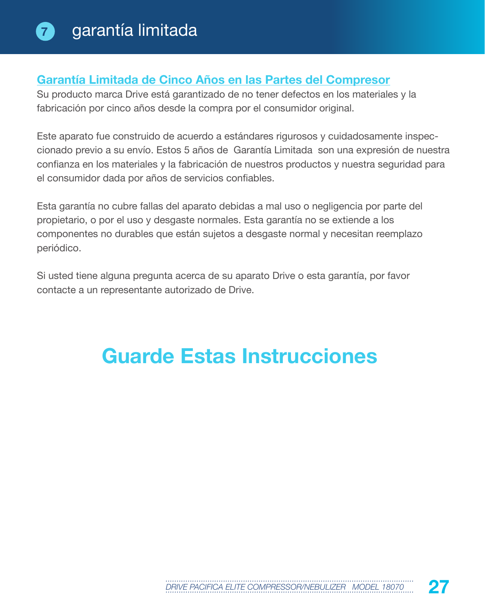#### **Garantía Limitada de Cinco Años en las Partes del Compresor**

Su producto marca Drive está garantizado de no tener defectos en los materiales y la fabricación por cinco años desde la compra por el consumidor original.

Este aparato fue construido de acuerdo a estándares rigurosos y cuidadosamente inspeccionado previo a su envío. Estos 5 años de Garantía Limitada son una expresión de nuestra confianza en los materiales y la fabricación de nuestros productos y nuestra seguridad para el consumidor dada por años de servicios confiables.

Esta garantía no cubre fallas del aparato debidas a mal uso o negligencia por parte del propietario, o por el uso y desgaste normales. Esta garantía no se extiende a los componentes no durables que están sujetos a desgaste normal y necesitan reemplazo periódico.

Si usted tiene alguna pregunta acerca de su aparato Drive o esta garantía, por favor contacte a un representante autorizado de Drive.

# **Guarde Estas Instrucciones**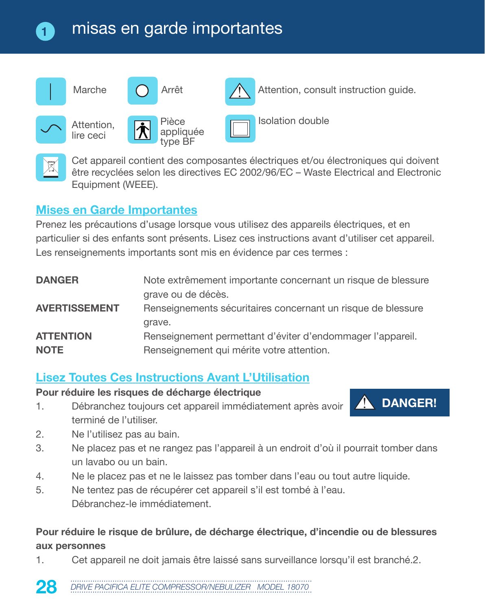# misas en garde importantes



Cet appareil contient des composantes électriques et/ou électroniques qui doivent être recyclées selon les directives EC 2002/96/EC – Waste Electrical and Electronic Equipment (WEEE).

#### **Mises en Garde Importantes**

**1**

Prenez les précautions d'usage lorsque vous utilisez des appareils électriques, et en particulier si des enfants sont présents. Lisez ces instructions avant d'utiliser cet appareil. Les renseignements importants sont mis en évidence par ces termes :

| <b>DANGER</b>        | Note extrêmement importante concernant un risque de blessure |
|----------------------|--------------------------------------------------------------|
|                      | grave ou de décès.                                           |
| <b>AVERTISSEMENT</b> | Renseignements sécuritaires concernant un risque de blessure |
|                      | grave.                                                       |
| <b>ATTENTION</b>     | Renseignement permettant d'éviter d'endommager l'appareil.   |
| <b>NOTE</b>          | Renseignement qui mérite votre attention.                    |

## **Lisez Toutes Ces Instructions Avant L'Utilisation**

#### **Pour réduire les risques de décharge électrique**

1. Débranchez toujours cet appareil immédiatement après avoir terminé de l'utiliser.



- 2. Ne l'utilisez pas au bain.
- 3. Ne placez pas et ne rangez pas l'appareil à un endroit d'où il pourrait tomber dans un lavabo ou un bain.
- 4. Ne le placez pas et ne le laissez pas tomber dans l'eau ou tout autre liquide.
- 5. Ne tentez pas de récupérer cet appareil s'il est tombé à l'eau. Débranchez-le immédiatement.

#### **Pour réduire le risque de brûlure, de décharge électrique, d'incendie ou de blessures aux personnes**

1. Cet appareil ne doit jamais être laissé sans surveillance lorsqu'il est branché.2.

28 DRIVE PACIFICA ELITE COMPRESSOR/NEBULIZER MODEL 18070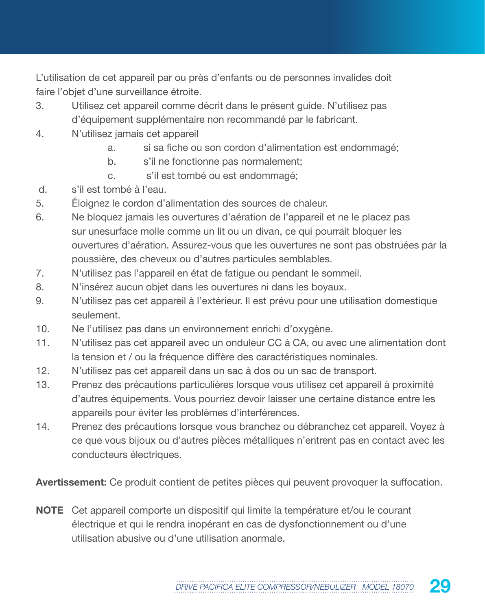L'utilisation de cet appareil par ou près d'enfants ou de personnes invalides doit faire l'objet d'une surveillance étroite.

- 3. Utilisez cet appareil comme décrit dans le présent guide. N'utilisez pas d'équipement supplémentaire non recommandé par le fabricant.
- 4. N'utilisez jamais cet appareil
	- a. si sa fiche ou son cordon d'alimentation est endommagé;
	- b. s'il ne fonctionne pas normalement;
	- c. s'il est tombé ou est endommagé;
- d. s'il est tombé à l'eau.
- 5. Éloignez le cordon d'alimentation des sources de chaleur.
- 6. Ne bloquez jamais les ouvertures d'aération de l'appareil et ne le placez pas sur unesurface molle comme un lit ou un divan, ce qui pourrait bloquer les ouvertures d'aération. Assurez-vous que les ouvertures ne sont pas obstruées par la poussière, des cheveux ou d'autres particules semblables.
- 7. N'utilisez pas l'appareil en état de fatigue ou pendant le sommeil.
- 8. N'insérez aucun objet dans les ouvertures ni dans les boyaux.
- 9. N'utilisez pas cet appareil à l'extérieur. Il est prévu pour une utilisation domestique seulement.
- 10. Ne l'utilisez pas dans un environnement enrichi d'oxygène.
- 11. N'utilisez pas cet appareil avec un onduleur CC à CA, ou avec une alimentation dont la tension et / ou la fréquence diffère des caractéristiques nominales.
- 12. N'utilisez pas cet appareil dans un sac à dos ou un sac de transport.
- 13. Prenez des précautions particulières lorsque vous utilisez cet appareil à proximité d'autres équipements. Vous pourriez devoir laisser une certaine distance entre les appareils pour éviter les problèmes d'interférences.
- 14. Prenez des précautions lorsque vous branchez ou débranchez cet appareil. Voyez à ce que vous bijoux ou d'autres pièces métalliques n'entrent pas en contact avec les conducteurs électriques.

**Avertissement:** Ce produit contient de petites pièces qui peuvent provoquer la suffocation.

**NOTE** Cet appareil comporte un dispositif qui limite la température et/ou le courant électrique et qui le rendra inopérant en cas de dysfonctionnement ou d'une utilisation abusive ou d'une utilisation anormale.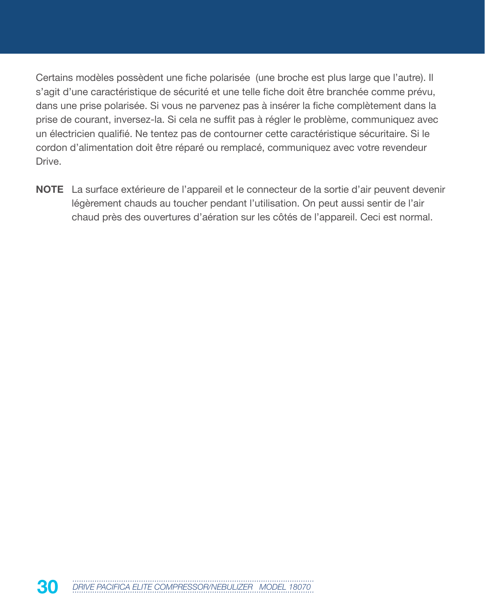Certains modèles possèdent une fiche polarisée (une broche est plus large que l'autre). Il s'agit d'une caractéristique de sécurité et une telle fiche doit être branchée comme prévu, dans une prise polarisée. Si vous ne parvenez pas à insérer la fiche complètement dans la prise de courant, inversez-la. Si cela ne suffit pas à régler le problème, communiquez avec un électricien qualifié. Ne tentez pas de contourner cette caractéristique sécuritaire. Si le cordon d'alimentation doit être réparé ou remplacé, communiquez avec votre revendeur Drive.

**NOTE** La surface extérieure de l'appareil et le connecteur de la sortie d'air peuvent devenir légèrement chauds au toucher pendant l'utilisation. On peut aussi sentir de l'air chaud près des ouvertures d'aération sur les côtés de l'appareil. Ceci est normal.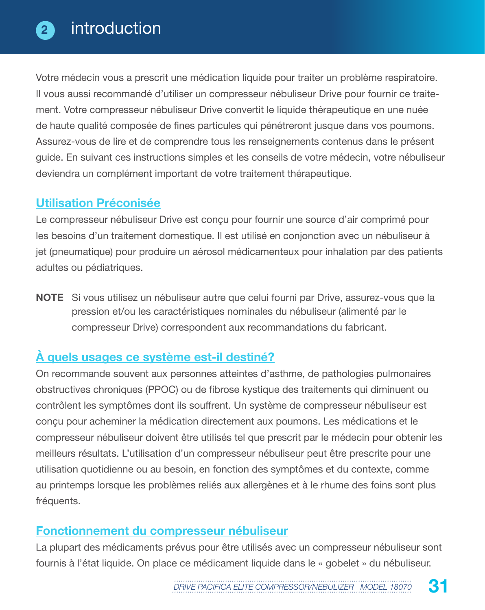Votre médecin vous a prescrit une médication liquide pour traiter un problème respiratoire. Il vous aussi recommandé d'utiliser un compresseur nébuliseur Drive pour fournir ce traitement. Votre compresseur nébuliseur Drive convertit le liquide thérapeutique en une nuée de haute qualité composée de fines particules qui pénétreront jusque dans vos poumons. Assurez-vous de lire et de comprendre tous les renseignements contenus dans le présent guide. En suivant ces instructions simples et les conseils de votre médecin, votre nébuliseur deviendra un complément important de votre traitement thérapeutique.

#### **Utilisation Préconisée**

Le compresseur nébuliseur Drive est conçu pour fournir une source d'air comprimé pour les besoins d'un traitement domestique. Il est utilisé en conjonction avec un nébuliseur à jet (pneumatique) pour produire un aérosol médicamenteux pour inhalation par des patients adultes ou pédiatriques.

**NOTE** Si vous utilisez un nébuliseur autre que celui fourni par Drive, assurez-vous que la pression et/ou les caractéristiques nominales du nébuliseur (alimenté par le compresseur Drive) correspondent aux recommandations du fabricant.

# **À quels usages ce système est-il destiné?**

On recommande souvent aux personnes atteintes d'asthme, de pathologies pulmonaires obstructives chroniques (PPOC) ou de fibrose kystique des traitements qui diminuent ou contrôlent les symptômes dont ils souffrent. Un système de compresseur nébuliseur est conçu pour acheminer la médication directement aux poumons. Les médications et le compresseur nébuliseur doivent être utilisés tel que prescrit par le médecin pour obtenir les meilleurs résultats. L'utilisation d'un compresseur nébuliseur peut être prescrite pour une utilisation quotidienne ou au besoin, en fonction des symptômes et du contexte, comme au printemps lorsque les problèmes reliés aux allergènes et à le rhume des foins sont plus fréquents.

## **Fonctionnement du compresseur nébuliseur**

La plupart des médicaments prévus pour être utilisés avec un compresseur nébuliseur sont fournis à l'état liquide. On place ce médicament liquide dans le « gobelet » du nébuliseur.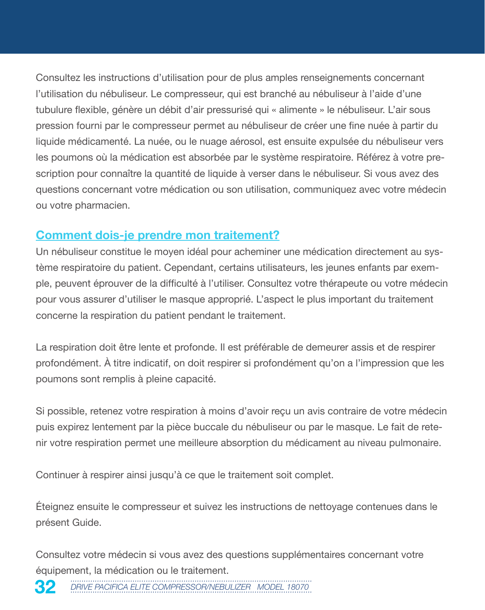Consultez les instructions d'utilisation pour de plus amples renseignements concernant l'utilisation du nébuliseur. Le compresseur, qui est branché au nébuliseur à l'aide d'une tubulure flexible, génère un débit d'air pressurisé qui « alimente » le nébuliseur. L'air sous pression fourni par le compresseur permet au nébuliseur de créer une fine nuée à partir du liquide médicamenté. La nuée, ou le nuage aérosol, est ensuite expulsée du nébuliseur vers les poumons où la médication est absorbée par le système respiratoire. Référez à votre prescription pour connaître la quantité de liquide à verser dans le nébuliseur. Si vous avez des questions concernant votre médication ou son utilisation, communiquez avec votre médecin ou votre pharmacien.

#### **Comment dois-je prendre mon traitement?**

Un nébuliseur constitue le moyen idéal pour acheminer une médication directement au système respiratoire du patient. Cependant, certains utilisateurs, les jeunes enfants par exemple, peuvent éprouver de la difficulté à l'utiliser. Consultez votre thérapeute ou votre médecin pour vous assurer d'utiliser le masque approprié. L'aspect le plus important du traitement concerne la respiration du patient pendant le traitement.

La respiration doit être lente et profonde. Il est préférable de demeurer assis et de respirer profondément. À titre indicatif, on doit respirer si profondément qu'on a l'impression que les poumons sont remplis à pleine capacité.

Si possible, retenez votre respiration à moins d'avoir reçu un avis contraire de votre médecin puis expirez lentement par la pièce buccale du nébuliseur ou par le masque. Le fait de retenir votre respiration permet une meilleure absorption du médicament au niveau pulmonaire.

Continuer à respirer ainsi jusqu'à ce que le traitement soit complet.

Éteignez ensuite le compresseur et suivez les instructions de nettoyage contenues dans le présent Guide.

Consultez votre médecin si vous avez des questions supplémentaires concernant votre équipement, la médication ou le traitement.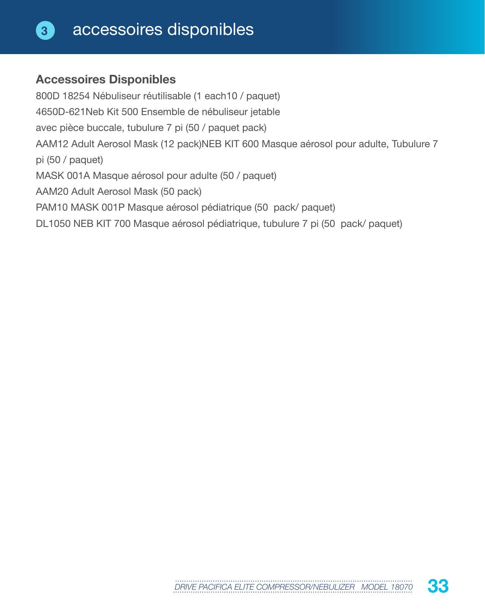#### **Accessoires Disponibles**

800D 18254 Nébuliseur réutilisable (1 each10 / paquet) 4650D-621Neb Kit 500 Ensemble de nébuliseur jetable avec pièce buccale, tubulure 7 pi (50 / paquet pack) AAM12 Adult Aerosol Mask (12 pack)NEB KIT 600 Masque aérosol pour adulte, Tubulure 7 pi (50 / paquet) MASK 001A Masque aérosol pour adulte (50 / paquet) AAM20 Adult Aerosol Mask (50 pack) PAM10 MASK 001P Masque aérosol pédiatrique (50 pack/ paquet) DL1050 NEB KIT 700 Masque aérosol pédiatrique, tubulure 7 pi (50 pack/ paquet)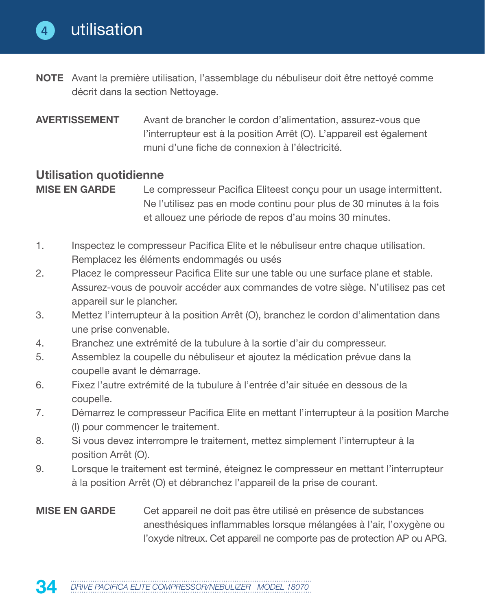- **NOTE** Avant la première utilisation, l'assemblage du nébuliseur doit être nettoyé comme décrit dans la section Nettoyage.
- **AVERTISSEMENT** Avant de brancher le cordon d'alimentation, assurez-vous que l'interrupteur est à la position Arrêt (O). L'appareil est également muni d'une fiche de connexion à l'électricité.

#### **Utilisation quotidienne**

- **MISE EN GARDE** Le compresseur Pacifica Eliteest conçu pour un usage intermittent. Ne l'utilisez pas en mode continu pour plus de 30 minutes à la fois et allouez une période de repos d'au moins 30 minutes.
- 1. Inspectez le compresseur Pacifica Elite et le nébuliseur entre chaque utilisation. Remplacez les éléments endommagés ou usés
- 2. Placez le compresseur Pacifica Elite sur une table ou une surface plane et stable. Assurez-vous de pouvoir accéder aux commandes de votre siège. N'utilisez pas cet appareil sur le plancher.
- 3. Mettez l'interrupteur à la position Arrêt (O), branchez le cordon d'alimentation dans une prise convenable.
- 4. Branchez une extrémité de la tubulure à la sortie d'air du compresseur.
- 5. Assemblez la coupelle du nébuliseur et ajoutez la médication prévue dans la coupelle avant le démarrage.
- 6. Fixez l'autre extrémité de la tubulure à l'entrée d'air située en dessous de la coupelle.
- 7. Démarrez le compresseur Pacifica Elite en mettant l'interrupteur à la position Marche (I) pour commencer le traitement.
- 8. Si vous devez interrompre le traitement, mettez simplement l'interrupteur à la position Arrêt (O).
- 9. Lorsque le traitement est terminé, éteignez le compresseur en mettant l'interrupteur à la position Arrêt (O) et débranchez l'appareil de la prise de courant.
- **MISE EN GARDE** Cet appareil ne doit pas être utilisé en présence de substances anesthésiques inflammables lorsque mélangées à l'air, l'oxygène ou l'oxyde nitreux. Cet appareil ne comporte pas de protection AP ou APG.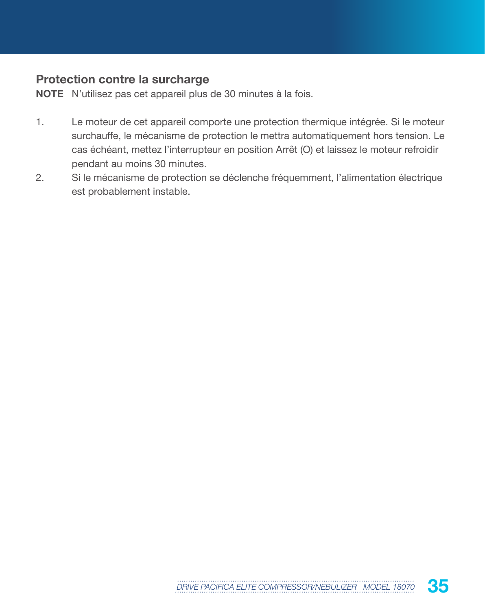#### **Protection contre la surcharge**

**NOTE** N'utilisez pas cet appareil plus de 30 minutes à la fois.

- 1. Le moteur de cet appareil comporte une protection thermique intégrée. Si le moteur surchauffe, le mécanisme de protection le mettra automatiquement hors tension. Le cas échéant, mettez l'interrupteur en position Arrêt (O) et laissez le moteur refroidir pendant au moins 30 minutes.
- 2. Si le mécanisme de protection se déclenche fréquemment, l'alimentation électrique est probablement instable.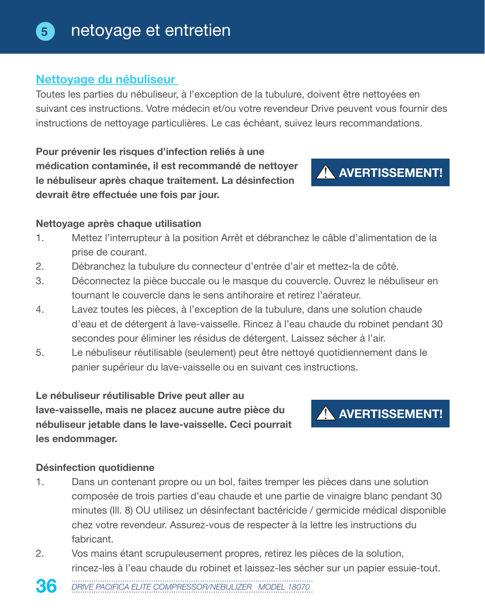#### **Nettoyage du nébuliseur**

Toutes les parties du nébuliseur, à l'exception de la tubulure, doivent être nettoyées en suivant ces instructions. Votre médecin et/ou votre revendeur Drive peuvent vous fournir des instructions de nettoyage particulières. Le cas échéant, suivez leurs recommandations.

**Pour prévenir les risques d'infection reliés à une médication contaminée, il est recommandé de nettoyer le nébuliseur après chaque traitement. La désinfection devrait être effectuée une fois par jour.**

#### **Nettoyage après chaque utilisation**

- 1. Mettez l'interrupteur à la position Arrêt et débranchez le câble d'alimentation de la prise de courant.
- 2. Débranchez la tubulure du connecteur d'entrée d'air et mettez-la de côté.
- 3. Déconnectez la pièce buccale ou le masque du couvercle. Ouvrez le nébuliseur en tournant le couvercle dans le sens antihoraire et retirez l'aérateur.
- 4. Lavez toutes les pièces, à l'exception de la tubulure, dans une solution chaude d'eau et de détergent à lave-vaisselle. Rincez à l'eau chaude du robinet pendant 30 secondes pour éliminer les résidus de détergent. Laissez sécher à l'air.
- 5. Le nébuliseur réutilisable (seulement) peut être nettoyé quotidiennement dans le panier supérieur du lave-vaisselle ou en suivant ces instructions.

**Le nébuliseur réutilisable Drive peut aller au lave-vaisselle, mais ne placez aucune autre pièce du nébuliseur jetable dans le lave-vaisselle. Ceci pourrait les endommager.**

#### **Désinfection quotidienne**

- 1. Dans un contenant propre ou un bol, faites tremper les pièces dans une solution composée de trois parties d'eau chaude et une partie de vinaigre blanc pendant 30 minutes (Ill. 8) OU utilisez un désinfectant bactéricide / germicide médical disponible chez votre revendeur. Assurez-vous de respecter à la lettre les instructions du fabricant.
- 2. Vos mains étant scrupuleusement propres, retirez les pièces de la solution, rincez-les à l'eau chaude du robinet et laissez-les sécher sur un papier essuie-tout.





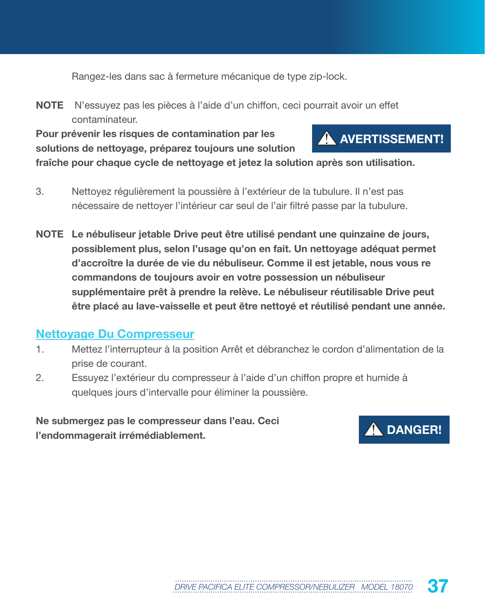Rangez-les dans sac à fermeture mécanique de type zip-lock.

**NOTE** N'essuyez pas les pièces à l'aide d'un chiffon, ceci pourrait avoir un effet contaminateur.

**Pour prévenir les risques de contamination par les solutions de nettoyage, préparez toujours une solution**



**fraîche pour chaque cycle de nettoyage et jetez la solution après son utilisation.**

- 3. Nettoyez régulièrement la poussière à l'extérieur de la tubulure. Il n'est pas nécessaire de nettoyer l'intérieur car seul de l'air filtré passe par la tubulure.
- **NOTE Le nébuliseur jetable Drive peut être utilisé pendant une quinzaine de jours, possiblement plus, selon l'usage qu'on en fait. Un nettoyage adéquat permet d'accroître la durée de vie du nébuliseur. Comme il est jetable, nous vous re commandons de toujours avoir en votre possession un nébuliseur supplémentaire prêt à prendre la relève. Le nébuliseur réutilisable Drive peut être placé au lave-vaisselle et peut être nettoyé et réutilisé pendant une année.**

#### **Nettoyage Du Compresseur**

- 1. Mettez l'interrupteur à la position Arrêt et débranchez le cordon d'alimentation de la prise de courant.
- 2. Essuyez l'extérieur du compresseur à l'aide d'un chiffon propre et humide à quelques jours d'intervalle pour éliminer la poussière.

**Ne submergez pas le compresseur dans l'eau. Ceci l'endommagerait irrémédiablement.**

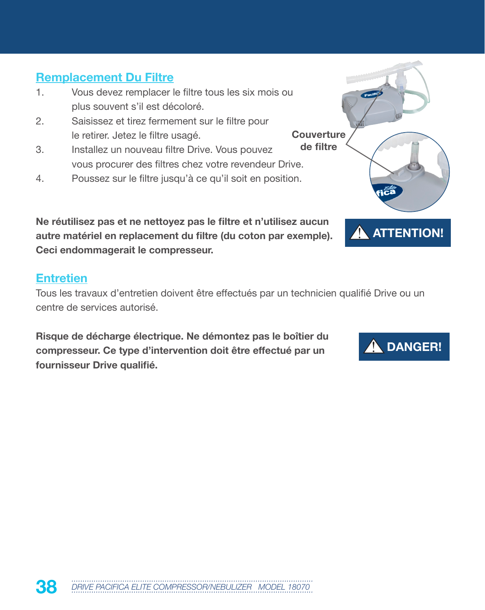## **Remplacement Du Filtre**

- 1. Vous devez remplacer le filtre tous les six mois ou plus souvent s'il est décoloré.
- 2. Saisissez et tirez fermement sur le filtre pour le retirer. Jetez le filtre usagé.
- 3. Installez un nouveau filtre Drive. Vous pouvez vous procurer des filtres chez votre revendeur Drive.
- 4. Poussez sur le filtre jusqu'à ce qu'il soit en position.

**Ne réutilisez pas et ne nettoyez pas le filtre et n'utilisez aucun autre matériel en replacement du filtre (du coton par exemple). Ceci endommagerait le compresseur.** 

#### **Entretien**

Tous les travaux d'entretien doivent être effectués par un technicien qualifié Drive ou un centre de services autorisé.

**Risque de décharge électrique. Ne démontez pas le boîtier du compresseur. Ce type d'intervention doit être effectué par un fournisseur Drive qualifié.**



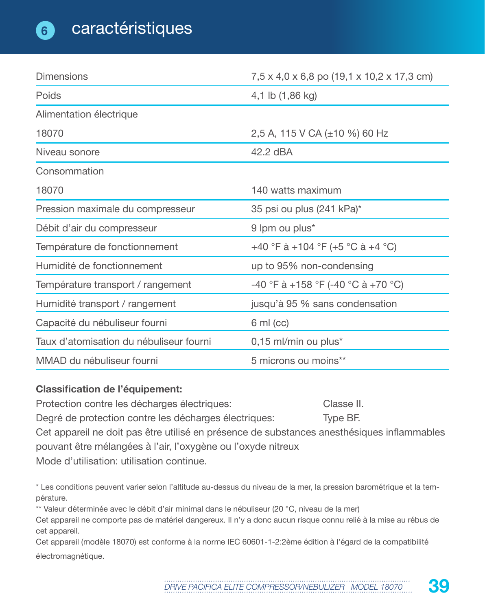| <b>Dimensions</b>                       | 7,5 x 4,0 x 6,8 po (19,1 x 10,2 x 17,3 cm) |
|-----------------------------------------|--------------------------------------------|
| Poids                                   | 4,1 lb (1,86 kg)                           |
| Alimentation électrique                 |                                            |
| 18070                                   | 2,5 A, 115 V CA (±10 %) 60 Hz              |
| Niveau sonore                           | 42.2 dBA                                   |
| Consommation                            |                                            |
| 18070                                   | 140 watts maximum                          |
| Pression maximale du compresseur        | 35 psi ou plus (241 kPa)*                  |
| Débit d'air du compresseur              | 9 lpm ou plus*                             |
| Température de fonctionnement           | +40 °F à +104 °F (+5 °C à +4 °C)           |
| Humidité de fonctionnement              | up to 95% non-condensing                   |
| Température transport / rangement       | -40 °F à +158 °F (-40 °C à +70 °C)         |
| Humidité transport / rangement          | jusqu'à 95 % sans condensation             |
| Capacité du nébuliseur fourni           | $6 \text{ ml} (cc)$                        |
| Taux d'atomisation du nébuliseur fourni | 0,15 ml/min ou plus*                       |
| MMAD du nébuliseur fourni               | 5 microns ou moins**                       |

#### **Classification de l'équipement:**

Protection contre les décharges électriques: Classe II. Degré de protection contre les décharges électriques: Type BF. Cet appareil ne doit pas être utilisé en présence de substances anesthésiques inflammables pouvant être mélangées à l'air, l'oxygène ou l'oxyde nitreux Mode d'utilisation: utilisation continue.

\* Les conditions peuvent varier selon l'altitude au-dessus du niveau de la mer, la pression barométrique et la température.

\*\* Valeur déterminée avec le débit d'air minimal dans le nébuliseur (20 °C, niveau de la mer)

Cet appareil ne comporte pas de matériel dangereux. Il n'y a donc aucun risque connu relié à la mise au rébus de cet appareil.

Cet appareil (modèle 18070) est conforme à la norme IEC 60601-1-2:2ème édition à l'égard de la compatibilité électromagnétique.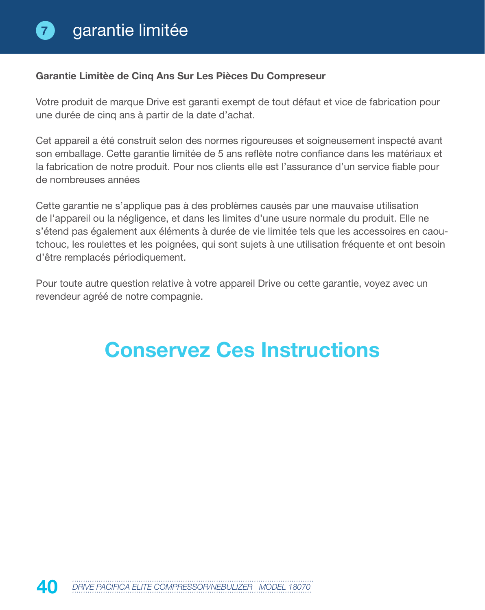#### **Garantie Limitèe de Cinq Ans Sur Les Pièces Du Compreseur**

Votre produit de marque Drive est garanti exempt de tout défaut et vice de fabrication pour une durée de cinq ans à partir de la date d'achat.

Cet appareil a été construit selon des normes rigoureuses et soigneusement inspecté avant son emballage. Cette garantie limitée de 5 ans reflète notre confiance dans les matériaux et la fabrication de notre produit. Pour nos clients elle est l'assurance d'un service fiable pour de nombreuses années

Cette garantie ne s'applique pas à des problèmes causés par une mauvaise utilisation de l'appareil ou la négligence, et dans les limites d'une usure normale du produit. Elle ne s'étend pas également aux éléments à durée de vie limitée tels que les accessoires en caoutchouc, les roulettes et les poignées, qui sont sujets à une utilisation fréquente et ont besoin d'être remplacés périodiquement.

Pour toute autre question relative à votre appareil Drive ou cette garantie, voyez avec un revendeur agréé de notre compagnie.

# **Conservez Ces Instructions**